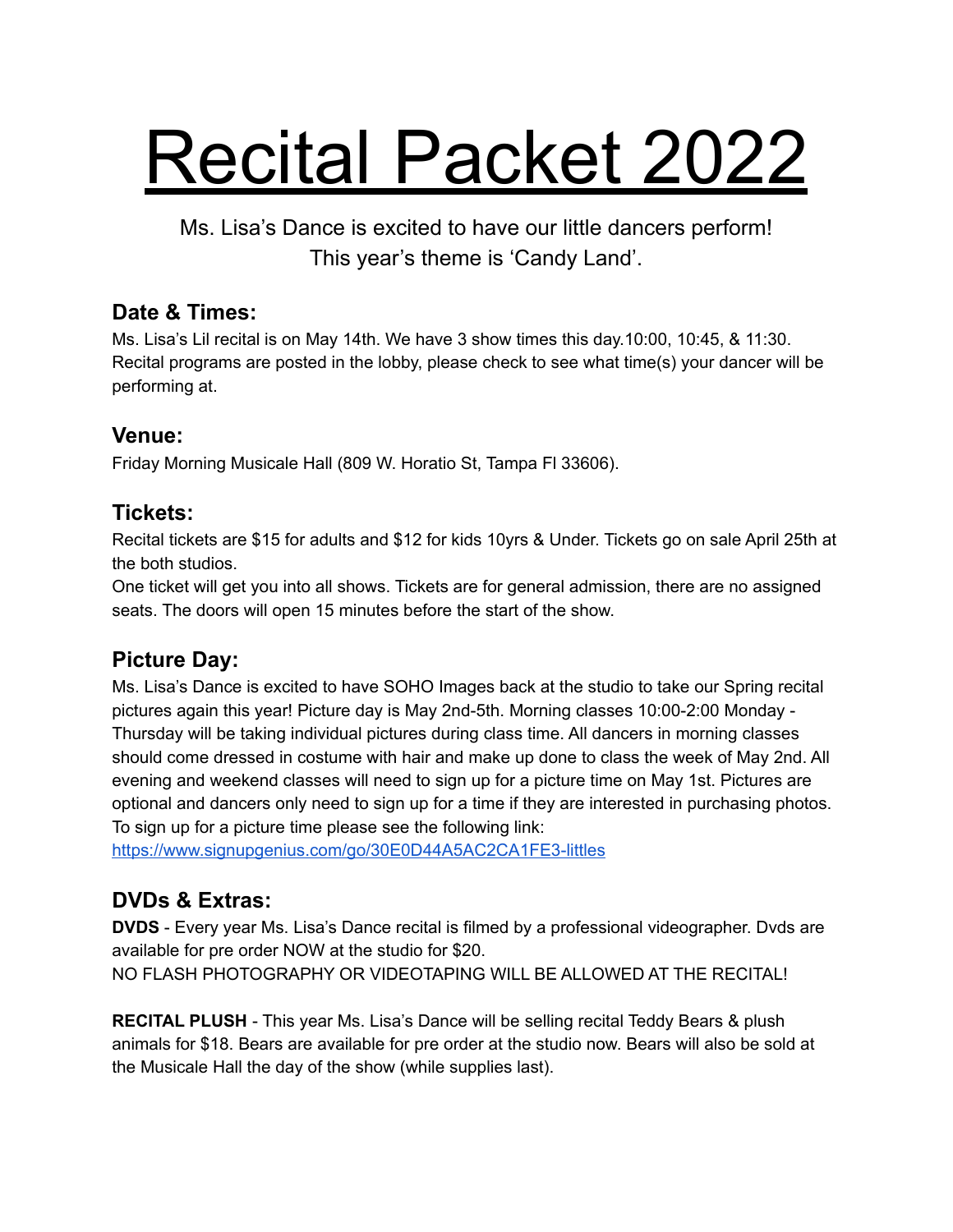# Recital Packet 2022

Ms. Lisa's Dance is excited to have our little dancers perform! This year's theme is 'Candy Land'.

#### **Date & Times:**

Ms. Lisa's Lil recital is on May 14th. We have 3 show times this day.10:00, 10:45, & 11:30. Recital programs are posted in the lobby, please check to see what time(s) your dancer will be performing at.

#### **Venue:**

Friday Morning Musicale Hall (809 W. Horatio St, Tampa Fl 33606).

#### **Tickets:**

Recital tickets are \$15 for adults and \$12 for kids 10yrs & Under. Tickets go on sale April 25th at the both studios.

One ticket will get you into all shows. Tickets are for general admission, there are no assigned seats. The doors will open 15 minutes before the start of the show.

#### **Picture Day:**

Ms. Lisa's Dance is excited to have SOHO Images back at the studio to take our Spring recital pictures again this year! Picture day is May 2nd-5th. Morning classes 10:00-2:00 Monday - Thursday will be taking individual pictures during class time. All dancers in morning classes should come dressed in costume with hair and make up done to class the week of May 2nd. All evening and weekend classes will need to sign up for a picture time on May 1st. Pictures are optional and dancers only need to sign up for a time if they are interested in purchasing photos. To sign up for a picture time please see the following link:

<https://www.signupgenius.com/go/30E0D44A5AC2CA1FE3-littles>

#### **DVDs & Extras:**

**DVDS** - Every year Ms. Lisa's Dance recital is filmed by a professional videographer. Dvds are available for pre order NOW at the studio for \$20. NO FLASH PHOTOGRAPHY OR VIDEOTAPING WILL BE ALLOWED AT THE RECITAL!

**RECITAL PLUSH** - This year Ms. Lisa's Dance will be selling recital Teddy Bears & plush animals for \$18. Bears are available for pre order at the studio now. Bears will also be sold at the Musicale Hall the day of the show (while supplies last).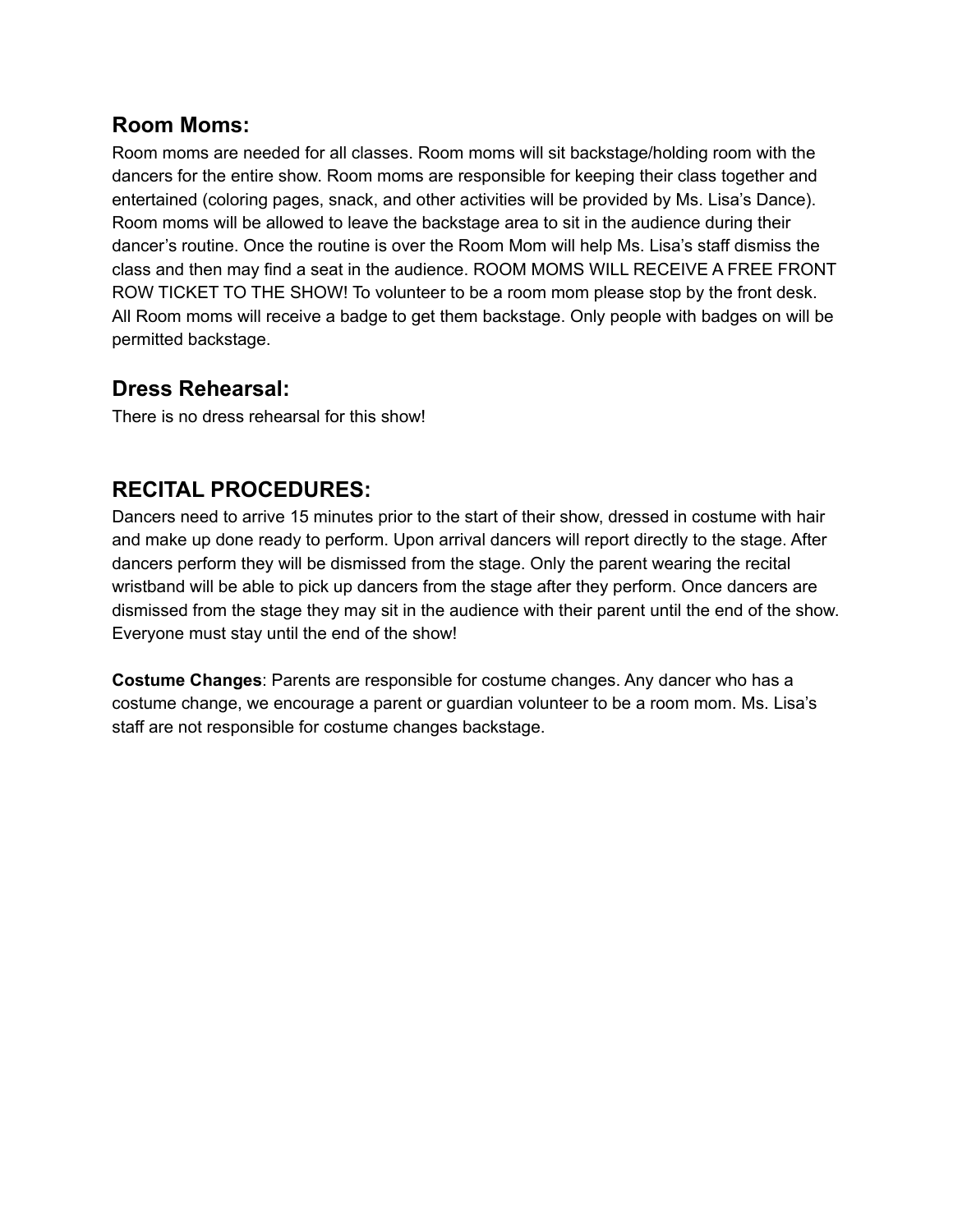#### **Room Moms:**

Room moms are needed for all classes. Room moms will sit backstage/holding room with the dancers for the entire show. Room moms are responsible for keeping their class together and entertained (coloring pages, snack, and other activities will be provided by Ms. Lisa's Dance). Room moms will be allowed to leave the backstage area to sit in the audience during their dancer's routine. Once the routine is over the Room Mom will help Ms. Lisa's staff dismiss the class and then may find a seat in the audience. ROOM MOMS WILL RECEIVE A FREE FRONT ROW TICKET TO THE SHOW! To volunteer to be a room mom please stop by the front desk. All Room moms will receive a badge to get them backstage. Only people with badges on will be permitted backstage.

#### **Dress Rehearsal:**

There is no dress rehearsal for this show!

#### **RECITAL PROCEDURES:**

Dancers need to arrive 15 minutes prior to the start of their show, dressed in costume with hair and make up done ready to perform. Upon arrival dancers will report directly to the stage. After dancers perform they will be dismissed from the stage. Only the parent wearing the recital wristband will be able to pick up dancers from the stage after they perform. Once dancers are dismissed from the stage they may sit in the audience with their parent until the end of the show. Everyone must stay until the end of the show!

**Costume Changes**: Parents are responsible for costume changes. Any dancer who has a costume change, we encourage a parent or guardian volunteer to be a room mom. Ms. Lisa's staff are not responsible for costume changes backstage.